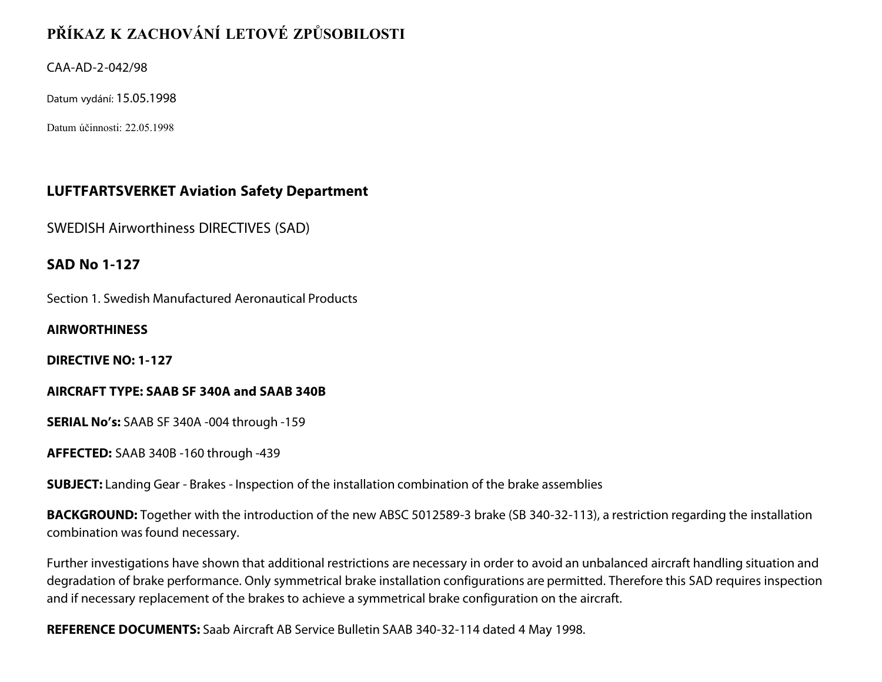# **PŘÍKAZ K ZACHOVÁNÍ LETOVÉ ZPŮSOBILOSTI**

CAA-AD-2-042/98

Datum vydání: 15.05.1998

Datum účinnosti: 22.05.1998

# **LUFTFARTSVERKET Aviation Safety Department**

SWEDISH Airworthiness DIRECTIVES (SAD)

# **SAD No 1-127**

Section 1. Swedish Manufactured Aeronautical Products

### **AIRWORTHINESS**

**DIRECTIVE NO: 1-127**

### **AIRCRAFT TYPE: SAAB SF 340A and SAAB 340B**

**SERIAL No's:** SAAB SF 340A -004 through -159

**AFFECTED:** SAAB 340B -160 through -439

**SUBJECT:** Landing Gear - Brakes - Inspection of the installation combination of the brake assemblies

**BACKGROUND:** Together with the introduction of the new ABSC 5012589-3 brake (SB 340-32-113), a restriction regarding the installation combination was found necessary.

Further investigations have shown that additional restrictions are necessary in order to avoid an unbalanced aircraft handling situation and degradation of brake performance. Only symmetrical brake installation configurations are permitted. Therefore this SAD requires inspection and if necessary replacement of the brakes to achieve a symmetrical brake configuration on the aircraft.

**REFERENCE DOCUMENTS:** Saab Aircraft AB Service Bulletin SAAB 340-32-114 dated 4 May 1998.